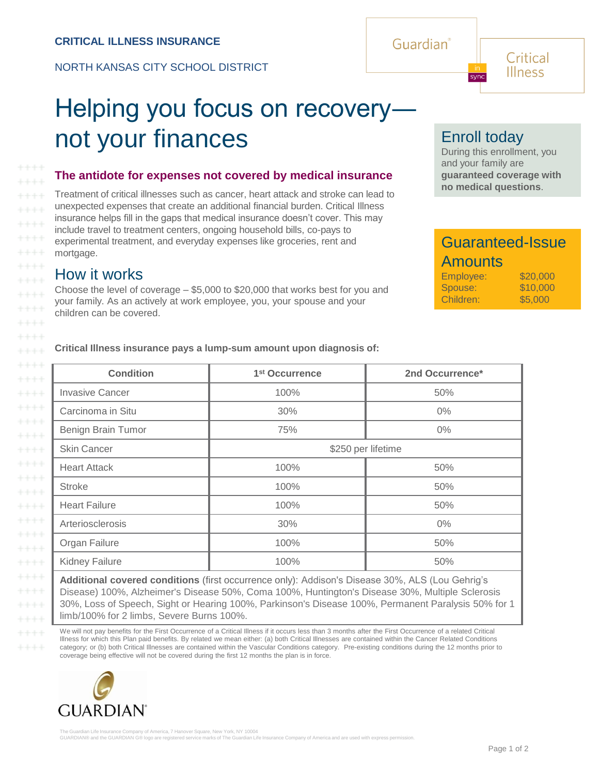NORTH KANSAS CITY SCHOOL DISTRICT

# Helping you focus on recovery― not your finances

#### **The antidote for expenses not covered by medical insurance**

Treatment of critical illnesses such as cancer, heart attack and stroke can lead to unexpected expenses that create an additional financial burden. Critical Illness insurance helps fill in the gaps that medical insurance doesn't cover. This may include travel to treatment centers, ongoing household bills, co-pays to experimental treatment, and everyday expenses like groceries, rent and mortgage.

### How it works

 $+++++$ 

 $++++$ 

 $+++++$ 

 $*** +$ 

 $++++$ 

Choose the level of coverage – \$5,000 to \$20,000 that works best for you and your family. As an actively at work employee, you, your spouse and your children can be covered.

**Critical Illness insurance pays a lump-sum amount upon diagnosis of:**

| <b>Condition</b>       | 1 <sup>st</sup> Occurrence | 2nd Occurrence* |  |  |  |
|------------------------|----------------------------|-----------------|--|--|--|
| <b>Invasive Cancer</b> | 100%                       | 50%             |  |  |  |
| Carcinoma in Situ      | 30%                        | $0\%$           |  |  |  |
| Benign Brain Tumor     | 75%                        | $0\%$           |  |  |  |
| <b>Skin Cancer</b>     | \$250 per lifetime         |                 |  |  |  |
| <b>Heart Attack</b>    | 100%                       | 50%             |  |  |  |
| <b>Stroke</b>          | 100%                       | 50%             |  |  |  |
| <b>Heart Failure</b>   | 100%                       | 50%             |  |  |  |
| Arteriosclerosis       | 30%                        | $0\%$           |  |  |  |
| Organ Failure          | 100%                       | 50%             |  |  |  |
| <b>Kidney Failure</b>  | 100%                       | 50%             |  |  |  |

**Additional covered conditions** (first occurrence only): Addison's Disease 30%, ALS (Lou Gehrig's Disease) 100%, Alzheimer's Disease 50%, Coma 100%, Huntington's Disease 30%, Multiple Sclerosis 30%, Loss of Speech, Sight or Hearing 100%, Parkinson's Disease 100%, Permanent Paralysis 50% for 1 limb/100% for 2 limbs, Severe Burns 100%.

We will not pay benefits for the First Occurrence of a Critical Illness if it occurs less than 3 months after the First Occurrence of a related Critical Illness for which this Plan paid benefits. By related we mean either: (a) both Critical Illnesses are contained within the Cancer Related Conditions category; or (b) both Critical Illnesses are contained within the Vascular Conditions category. Pre-existing conditions during the 12 months prior to coverage being effective will not be covered during the first 12 months the plan is in force.





syne

During this enrollment, you and your family are **guaranteed coverage with no medical questions**.

Critical Illness

## Guaranteed-Issue **Amounts**

| Employee: | \$20,000 |
|-----------|----------|
| Spouse:   | \$10,000 |
| Children: | \$5,000  |

Guardian®